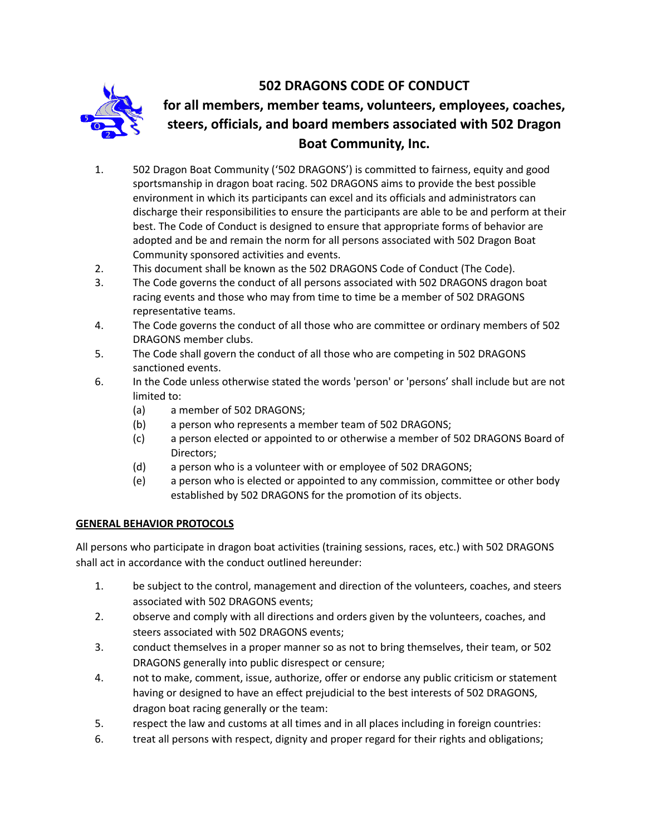

# **502 DRAGONS CODE OF CONDUCT for all members, member teams, volunteers, employees, coaches, steers, officials, and board members associated with 502 Dragon Boat Community, Inc.**

- 1. 502 Dragon Boat Community ('502 DRAGONS') is committed to fairness, equity and good sportsmanship in dragon boat racing. 502 DRAGONS aims to provide the best possible environment in which its participants can excel and its officials and administrators can discharge their responsibilities to ensure the participants are able to be and perform at their best. The Code of Conduct is designed to ensure that appropriate forms of behavior are adopted and be and remain the norm for all persons associated with 502 Dragon Boat Community sponsored activities and events.
- 2. This document shall be known as the 502 DRAGONS Code of Conduct (The Code).
- 3. The Code governs the conduct of all persons associated with 502 DRAGONS dragon boat racing events and those who may from time to time be a member of 502 DRAGONS representative teams.
- 4. The Code governs the conduct of all those who are committee or ordinary members of 502 DRAGONS member clubs.
- 5. The Code shall govern the conduct of all those who are competing in 502 DRAGONS sanctioned events.
- 6. In the Code unless otherwise stated the words 'person' or 'persons' shall include but are not limited to:
	- (a) a member of 502 DRAGONS;
	- (b) a person who represents a member team of 502 DRAGONS;
	- (c) a person elected or appointed to or otherwise a member of 502 DRAGONS Board of Directors;
	- (d) a person who is a volunteer with or employee of 502 DRAGONS;
	- (e) a person who is elected or appointed to any commission, committee or other body established by 502 DRAGONS for the promotion of its objects.

## **GENERAL BEHAVIOR PROTOCOLS**

All persons who participate in dragon boat activities (training sessions, races, etc.) with 502 DRAGONS shall act in accordance with the conduct outlined hereunder:

- 1. be subject to the control, management and direction of the volunteers, coaches, and steers associated with 502 DRAGONS events;
- 2. observe and comply with all directions and orders given by the volunteers, coaches, and steers associated with 502 DRAGONS events;
- 3. conduct themselves in a proper manner so as not to bring themselves, their team, or 502 DRAGONS generally into public disrespect or censure;
- 4. not to make, comment, issue, authorize, offer or endorse any public criticism or statement having or designed to have an effect prejudicial to the best interests of 502 DRAGONS, dragon boat racing generally or the team:
- 5. respect the law and customs at all times and in all places including in foreign countries:
- 6. treat all persons with respect, dignity and proper regard for their rights and obligations;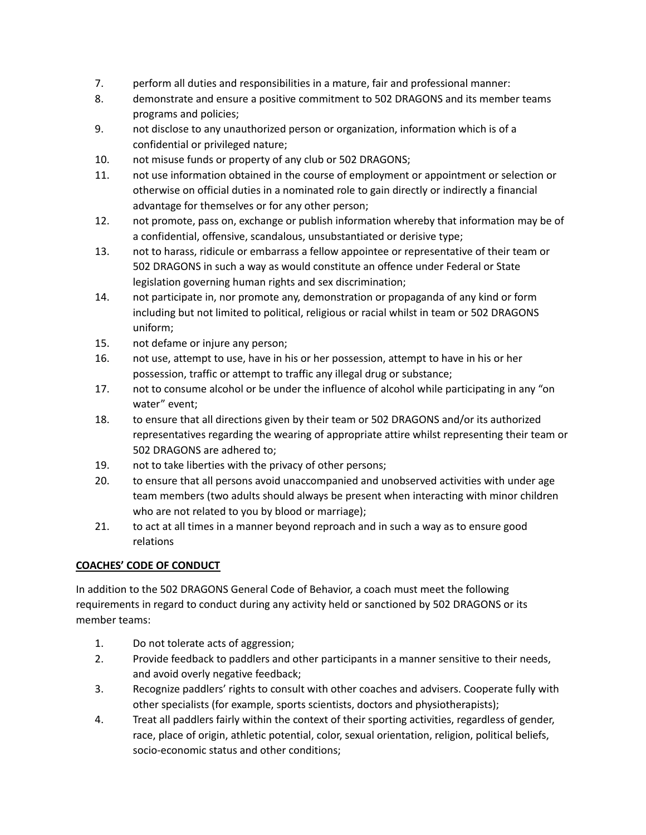- 7. perform all duties and responsibilities in a mature, fair and professional manner:
- 8. demonstrate and ensure a positive commitment to 502 DRAGONS and its member teams programs and policies;
- 9. not disclose to any unauthorized person or organization, information which is of a confidential or privileged nature;
- 10. not misuse funds or property of any club or 502 DRAGONS;
- 11. not use information obtained in the course of employment or appointment or selection or otherwise on official duties in a nominated role to gain directly or indirectly a financial advantage for themselves or for any other person;
- 12. not promote, pass on, exchange or publish information whereby that information may be of a confidential, offensive, scandalous, unsubstantiated or derisive type;
- 13. not to harass, ridicule or embarrass a fellow appointee or representative of their team or 502 DRAGONS in such a way as would constitute an offence under Federal or State legislation governing human rights and sex discrimination;
- 14. not participate in, nor promote any, demonstration or propaganda of any kind or form including but not limited to political, religious or racial whilst in team or 502 DRAGONS uniform;
- 15. not defame or injure any person;
- 16. not use, attempt to use, have in his or her possession, attempt to have in his or her possession, traffic or attempt to traffic any illegal drug or substance;
- 17. not to consume alcohol or be under the influence of alcohol while participating in any "on water" event;
- 18. to ensure that all directions given by their team or 502 DRAGONS and/or its authorized representatives regarding the wearing of appropriate attire whilst representing their team or 502 DRAGONS are adhered to;
- 19. not to take liberties with the privacy of other persons;
- 20. to ensure that all persons avoid unaccompanied and unobserved activities with under age team members (two adults should always be present when interacting with minor children who are not related to you by blood or marriage);
- 21. to act at all times in a manner beyond reproach and in such a way as to ensure good relations

## **COACHES' CODE OF CONDUCT**

In addition to the 502 DRAGONS General Code of Behavior, a coach must meet the following requirements in regard to conduct during any activity held or sanctioned by 502 DRAGONS or its member teams:

- 1. Do not tolerate acts of aggression;
- 2. Provide feedback to paddlers and other participants in a manner sensitive to their needs, and avoid overly negative feedback;
- 3. Recognize paddlers' rights to consult with other coaches and advisers. Cooperate fully with other specialists (for example, sports scientists, doctors and physiotherapists);
- 4. Treat all paddlers fairly within the context of their sporting activities, regardless of gender, race, place of origin, athletic potential, color, sexual orientation, religion, political beliefs, socio-economic status and other conditions;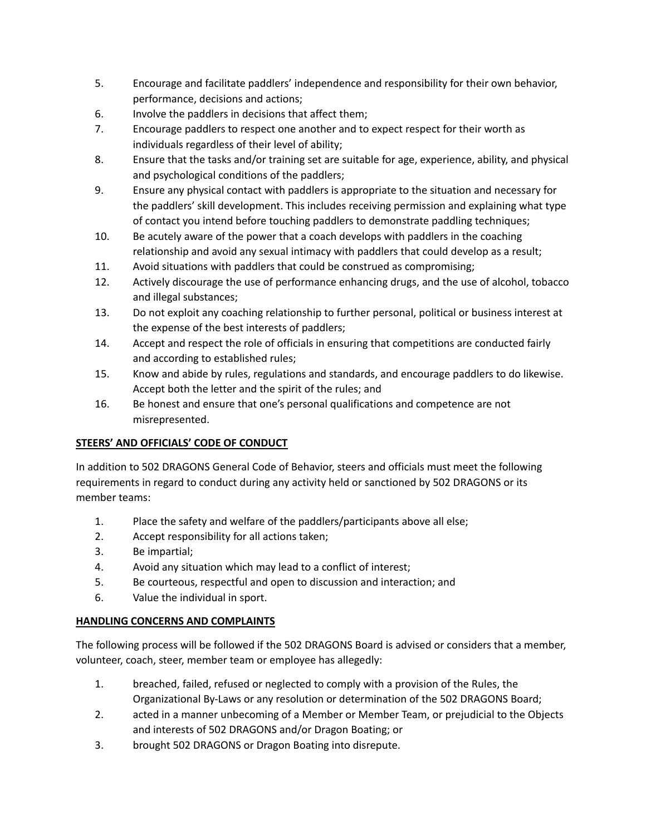- 5. Encourage and facilitate paddlers' independence and responsibility for their own behavior, performance, decisions and actions;
- 6. Involve the paddlers in decisions that affect them;
- 7. Encourage paddlers to respect one another and to expect respect for their worth as individuals regardless of their level of ability;
- 8. Ensure that the tasks and/or training set are suitable for age, experience, ability, and physical and psychological conditions of the paddlers;
- 9. Ensure any physical contact with paddlers is appropriate to the situation and necessary for the paddlers' skill development. This includes receiving permission and explaining what type of contact you intend before touching paddlers to demonstrate paddling techniques;
- 10. Be acutely aware of the power that a coach develops with paddlers in the coaching relationship and avoid any sexual intimacy with paddlers that could develop as a result;
- 11. Avoid situations with paddlers that could be construed as compromising;
- 12. Actively discourage the use of performance enhancing drugs, and the use of alcohol, tobacco and illegal substances;
- 13. Do not exploit any coaching relationship to further personal, political or business interest at the expense of the best interests of paddlers;
- 14. Accept and respect the role of officials in ensuring that competitions are conducted fairly and according to established rules;
- 15. Know and abide by rules, regulations and standards, and encourage paddlers to do likewise. Accept both the letter and the spirit of the rules; and
- 16. Be honest and ensure that one's personal qualifications and competence are not misrepresented.

## **STEERS' AND OFFICIALS' CODE OF CONDUCT**

In addition to 502 DRAGONS General Code of Behavior, steers and officials must meet the following requirements in regard to conduct during any activity held or sanctioned by 502 DRAGONS or its member teams:

- 1. Place the safety and welfare of the paddlers/participants above all else;
- 2. Accept responsibility for all actions taken;
- 3. Be impartial;
- 4. Avoid any situation which may lead to a conflict of interest;
- 5. Be courteous, respectful and open to discussion and interaction; and
- 6. Value the individual in sport.

## **HANDLING CONCERNS AND COMPLAINTS**

The following process will be followed if the 502 DRAGONS Board is advised or considers that a member, volunteer, coach, steer, member team or employee has allegedly:

- 1. breached, failed, refused or neglected to comply with a provision of the Rules, the Organizational By-Laws or any resolution or determination of the 502 DRAGONS Board;
- 2. acted in a manner unbecoming of a Member or Member Team, or prejudicial to the Objects and interests of 502 DRAGONS and/or Dragon Boating; or
- 3. brought 502 DRAGONS or Dragon Boating into disrepute.